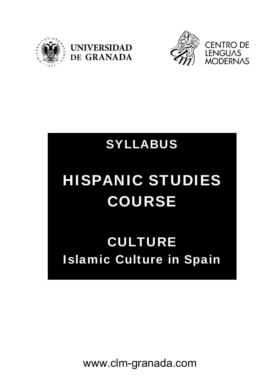





## SYLLABUS

# HISPANIC STUDIES COURSE

# CULTURE Islamic Culture in Spain

www.clm-granada.com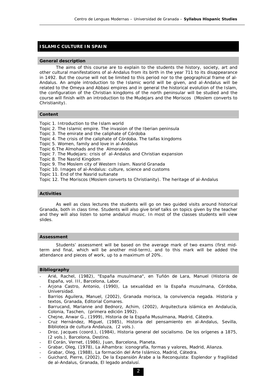### **ISLAMIC CULTURE IN SPAIN**

#### **General description**

 The aims of this course are to explain to the students the history, society, art and other cultural manifestations of al-Andalus from its birth in the year 711 to its disappearance in 1492. But the course will not be limited to this period nor to the geographical frame of al-Andalus. An ample introduction to the Islamic world will be given, and al-Andalus will be related to the Omeya and Abbasi empires and in general the historical evolution of the Islam, the configuration of the Christian kingdoms of the north peninsular will be studied and the course will finish with an introduction to the Mudejars and the Moriscos (Moslem converts to Christianity).

#### **Content**

- Topic 1. Introduction to the Islam world
- Topic 2. The Islamic empire. The invasion of the Iberian peninsula
- Topic 3. The emirate and the caliphate of Córdoba
- Topic 4. The crisis of the caliphate of Córdoba. The taifas kingdoms
- Topic 5. Women, family and love in al-Andalus
- Topic 6.The Almohads and the Almoravids
- Topic 7. The Mudejars: crisis of al-Andalus and Christian expansion
- Topic 8. The Nasrid Kingdom
- Topic 9. The Moslem city of Western Islam. Nasrid Granada
- Topic 10. Images of al-Andalus: culture, science and customs
- Topic 11. End of the Nasrid sultanate
- Topic 12. The Moriscos (Moslem converts to Christianity). The heritage of al-Andalus

#### **Activities**

 As well as class lectures the students will go on two guided visits around historical Granada, both in class time. Students will also give brief talks on topics given by the teacher and they will also listen to some andalusí music. In most of the classes students will view slides.

#### **Assessment**

 Students' assessment will be based on the average mark of two exams (first midterm and final, which will be another mid-term), and to this mark will be added the attendance and pieces of work, up to a maximum of 20%.

### **Bibliography**

- Arié, Rachel, (1982), "España musulmana", en Tuñón de Lara, Manuel (*Historia de España*, vol. III, Barcelona, Labor.
- Arjona Castro, Antonio, (1990), *La sexualidad en la España musulmana*, Córdoba, Universidad.
- Barrios Aguilera, Manuel, (2002), *Granada morisca, la convivencia negada. Historia y textos*, Granada, Editorial Comares.
- Barrucand, Marianne and Bednorz, Achim, (2002), *Arquitectura islámica en Andalucía*, Colonia, Taschen, (primera edición 1992).
- Chejne, Anwar G., (1999), *Historia de la España Musulmana*, Madrid, Cátedra.
- Cruz Hernández, Miguel, (1985), *Historia del pensamiento en al-Andalus*, Sevilla, Biblioteca de cultura Andaluza, (2 vols.).
- Droz, Jacques (coord.), (1984), *Historia general del socialismo. De los orígenes a 1875*, (2 vols.), Barcelona, Destino.
- *El Corán*, Vernet, (1986), Juan, Barcelona, Planeta.
- Grabar, Oleg, (1978), *La Alhambra: iconografía, formas y valores*, Madrid, Alianza.
- Grabar, Oleg, (1988*), La formación del Arte Islámico*, Madrid, Cátedra.
- Guichard, Pierre, (2002), *De la Expansión Árabe a la Reconquista: Esplendor y fragilidad de al-Andalus,* Granada, El legado andalusí.